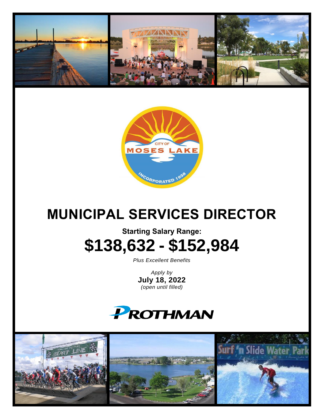



# **MUNICIPAL SERVICES DIRECTOR**

## **Starting Salary Range: \$138,632 - \$152,984**

*Plus Excellent Benefits*

*Apply by* **July 18, 2022** *(open until filled)*

## **PROTHMAN**

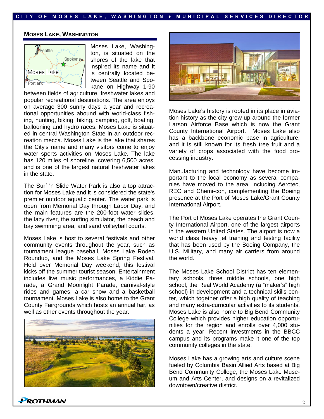### **C I T Y O F M O S ES L A K E , W A S H I N G T O N ♦ M U N I C I P A L S E R V I C E S D I R E C T O R**

### **MOSES LAKE, WASHINGTON**



Moses Lake, Washington, is situated on the shores of the lake that inspired its name and it is centrally located between Seattle and Spokane on Highway 1-90

between fields of agriculture, freshwater lakes and popular recreational destinations. The area enjoys on average 300 sunny days a year and recreational opportunities abound with world-class fishing, hunting, biking, hiking, camping, golf, boating, ballooning and hydro races. Moses Lake is situated in central Washington State in an outdoor recreation mecca. Moses Lake is the lake that shares the City's name and many visitors come to enjoy water sports activities on Moses Lake. The lake has 120 miles of shoreline, covering 6,500 acres, and is one of the largest natural freshwater lakes in the state.

The Surf 'n Slide Water Park is also a top attraction for Moses Lake and it is considered the state's premier outdoor aquatic center. The water park is open from Memorial Day through Labor Day, and the main features are the 200-foot water slides, the lazy river, the surfing simulator, the beach and bay swimming area, and sand volleyball courts.

Moses Lake is host to several festivals and other community events throughout the year, such as tournament league baseball, Moses Lake Rodeo Roundup, and the Moses Lake Spring Festival. Held over Memorial Day weekend, this festival kicks off the summer tourist season. Entertainment includes live music performances, a Kiddie Parade, a Grand Moonlight Parade, carnival-style rides and games, a car show and a basketball tournament. Moses Lake is also home to the Grant County Fairgrounds which hosts an annual fair, as well as other events throughout the year.





Moses Lake's history is rooted in its place in aviation history as the city grew up around the former Larson Airforce Base which is now the Grant County International Airport. Moses Lake also has a backbone economic base in agriculture, and it is still known for its fresh tree fruit and a variety of crops associated with the food processing industry.

Manufacturing and technology have become important to the local economy as several companies have moved to the area, including Aerotec, REC and Chemi-con, complementing the Boeing presence at the Port of Moses Lake/Grant County International Airport.

The Port of Moses Lake operates the Grant County International Airport, one of the largest airports in the western United States. The airport is now a world class heavy jet training and testing facility that has been used by the Boeing Company, the U.S. Military, and many air carriers from around the world.

The Moses Lake School District has ten elementary schools, three middle schools, one high school, the Real World Academy (a "maker's" high school) in development and a technical skills center, which together offer a high quality of teaching and many extra-curricular activities to its students. Moses Lake is also home to Big Bend Community College which provides higher education opportunities for the region and enrolls over 4,000 students a year. Recent investments in the BBCC campus and its programs make it one of the top community colleges in the state.

Moses Lake has a growing arts and culture scene fueled by Columbia Basin Allied Arts based at Big Bend Community College, the Moses Lake Museum and Arts Center, and designs on a revitalized downtown/creative district.

ROTHMAN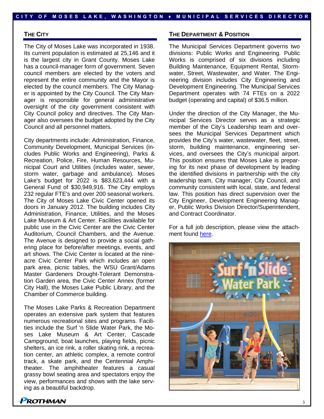### **THE CITY**

The City of Moses Lake was incorporated in 1938. Its current population is estimated at 25,146 and it is the largest city in Grant County. Moses Lake has a council-manager form of government. Seven council members are elected by the voters and represent the entire community and the Mayor is elected by the council members. The City Manager is appointed by the City Council. The City Manager is responsible for general administrative oversight of the city government consistent with City Council policy and directives. The City Manager also oversees the budget adopted by the City Council and all personnel matters.

City departments include: Administration, Finance, Community Development, Municipal Services (includes Public Works and Engineering), Parks & Recreation, Police, Fire, Human Resources, Municipal Court and Utilities (includes water, sewer, storm water, garbage and ambulance). Moses Lake's budget for 2022 is \$83,623,444 with a General Fund of \$30,949,916. The City employs 232 regular FTE's and over 200 seasonal workers. The City of Moses Lake Civic Center opened its doors in January 2012. The building includes City Administration, Finance, Utilities, and the Moses Lake Museum & Art Center. Facilities available for public use in the Civic Center are the Civic Center Auditorium, Council Chambers, and the Avenue. The Avenue is designed to provide a social gathering place for before/after meetings, events, and art shows. The Civic Center is located at the nineacre Civic Center Park which includes an open park area, picnic tables, the WSU Grant/Adams Master Gardeners Drought-Tolerant Demonstration Garden area, the Civic Center Annex (former City Hall), the Moses Lake Public Library, and the Chamber of Commerce building.

The Moses Lake Parks & Recreation Department operates an extensive park system that features numerous recreational sites and programs. Facilities include the Surf 'n Slide Water Park, the Moses Lake Museum & Art Center, Cascade Campground, boat launches, playing fields, picnic shelters, an ice rink, a roller skating rink, a recreation center, an athletic complex, a remote control track, a skate park, and the Centennial Amphitheater. The amphitheater features a casual grassy bowl seating area and spectators enjoy the view, performances and shows with the lake serving as a beautiful backdrop.

### **THE DEPARTMENT & POSITION**

The Municipal Services Department governs two divisions: Public Works and Engineering. Public Works is comprised of six divisions including Building Maintenance, Equipment Rental, Stormwater, Street, Wastewater, and Water. The Engineering division includes City Engineering and Development Engineering. The Municipal Services Department operates with 74 FTEs on a 2022 budget (operating and capital) of \$36.5 million.

Under the direction of the City Manager, the Municipal Services Director serves as a strategic member of the City's Leadership team and oversees the Municipal Services Department which provides the City's water, wastewater, fleet, street, storm, building maintenance, engineering services, and oversees the City's municipal airport. This position ensures that Moses Lake is preparing for its next phase of development by leading the identified divisions in partnership with the city leadership team, City manager, City Council, and community consistent with local, state, and federal law. This position has direct supervision over the City Engineer, Development Engineering Manager, Public Works Division Director/Superintendent, and Contract Coordinator.

For a full job description, please view the attachment found [here.](https://www.prothman.com/JobFiles/2973/Moses%20Lake%20Municipal%20Services%20Director%20Profile%20Final%20compressed%20JobDescriptionUnderReview.pdf)



## *PROTHMAN*